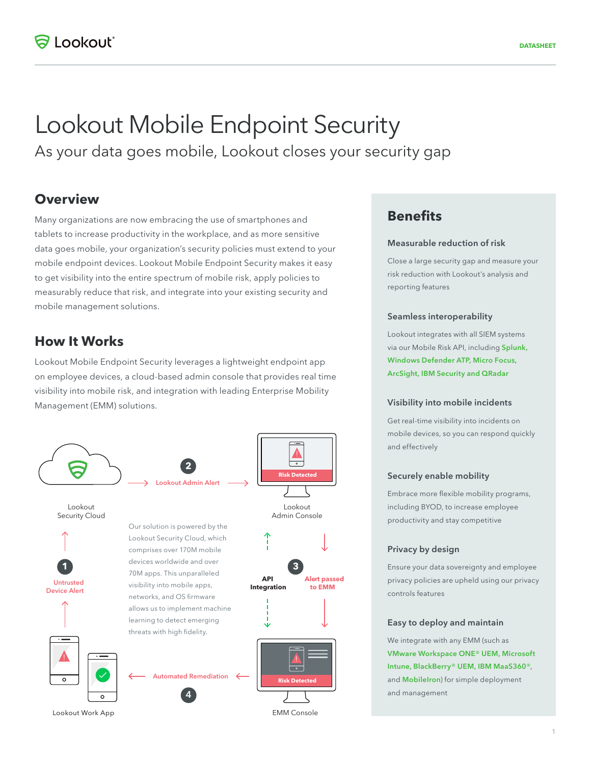# Lookout Mobile Endpoint Security

As your data goes mobile, Lookout closes your security gap

## **Overview**

Many organizations are now embracing the use of smartphones and tablets to increase productivity in the workplace, and as more sensitive data goes mobile, your organization's security policies must extend to your mobile endpoint devices. Lookout Mobile Endpoint Security makes it easy to get visibility into the entire spectrum of mobile risk, apply policies to measurably reduce that risk, and integrate into your existing security and mobile management solutions.

### **How It Works**

Lookout Mobile Endpoint Security leverages a lightweight endpoint app on employee devices, a cloud-based admin console that provides real time visibility into mobile risk, and integration with leading Enterprise Mobility Management (EMM) solutions.



## **Benefits**

#### Measurable reduction of risk

Close a large security gap and measure your risk reduction with Lookout's analysis and reporting features

#### Seamless interoperability

Lookout integrates with all SIEM systems via our Mobile Risk API, including Splunk, Windows Defender ATP, Micro Focus, ArcSight, IBM Security and QRadar

#### Visibility into mobile incidents

Get real-time visibility into incidents on mobile devices, so you can respond quickly and effectively

#### Securely enable mobility

Embrace more flexible mobility programs, including BYOD, to increase employee productivity and stay competitive

#### Privacy by design

Ensure your data sovereignty and employee privacy policies are upheld using our privacy controls features

#### Easy to deploy and maintain

We integrate with any EMM (such as VMware Workspace ONE® UEM, Microsoft Intune, BlackBerry® UEM, IBM MaaS360®, and **MobileIron**) for simple deployment and management